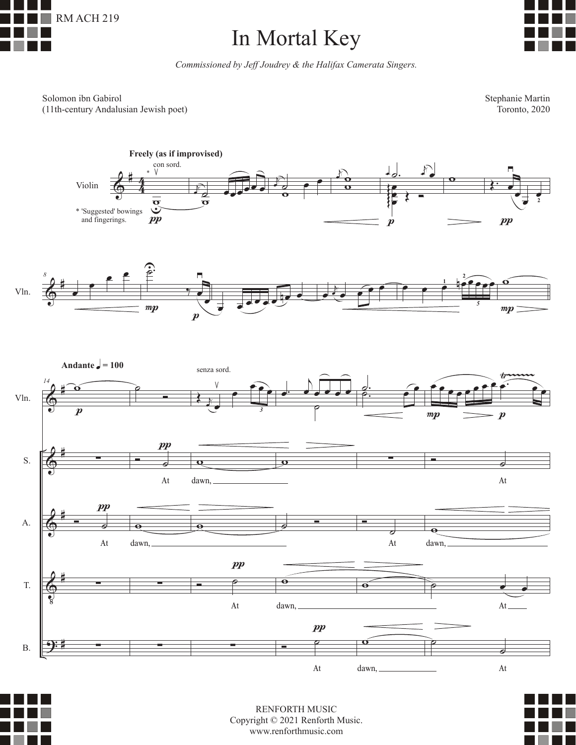

## In Mortal Key

*Commissioned by Jeff Joudrey & the Halifax Camerata Singers.*

Solomon ibn Gabirol (11th-century Andalusian Jewish poet) Stephanie Martin Toronto, 2020









RENFORTH MUSIC Copyright © 2021 Renforth Music. www.renforthmusic.com

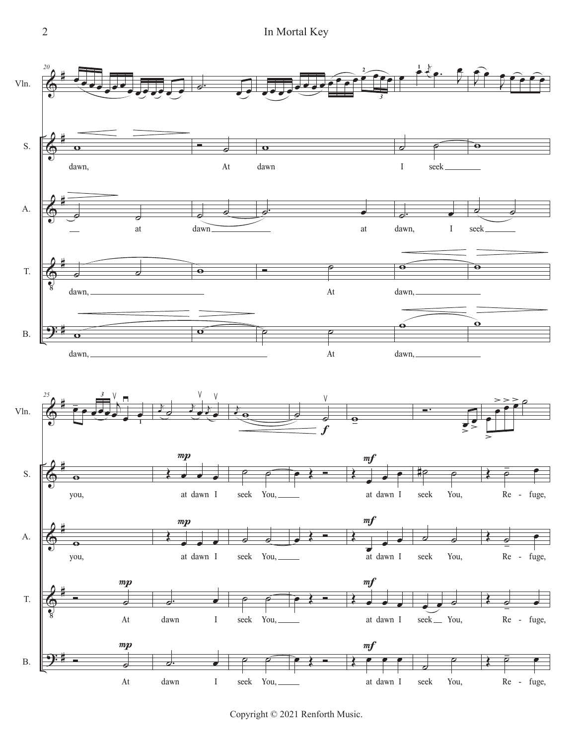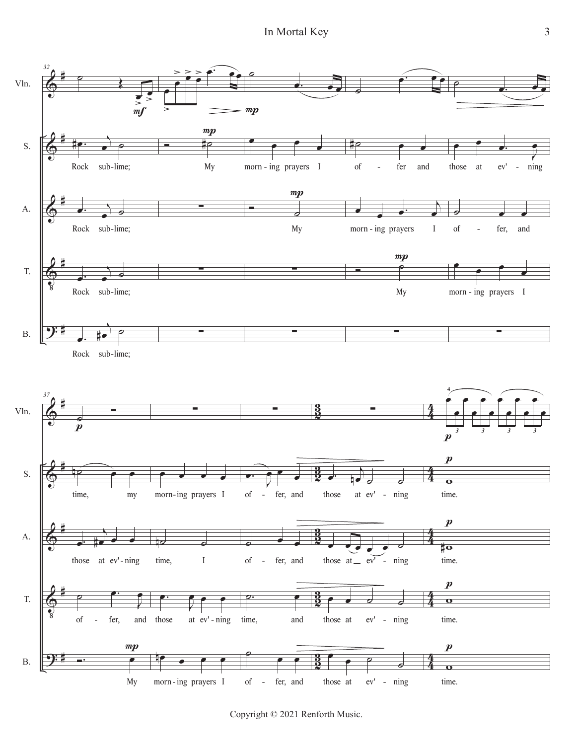In Mortal Key 3



Copyright © 2021 Renforth Music.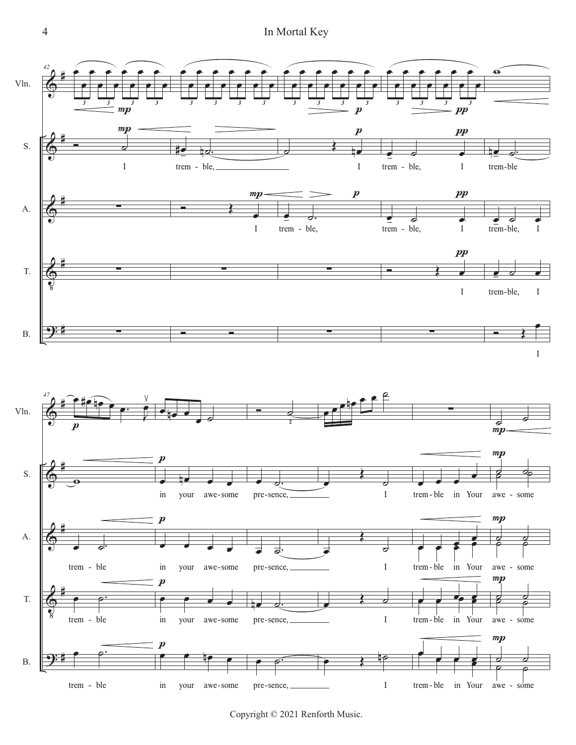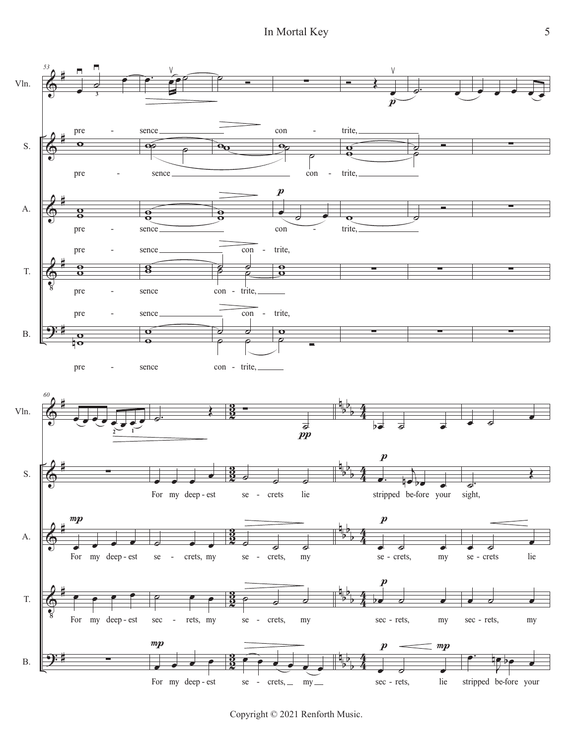